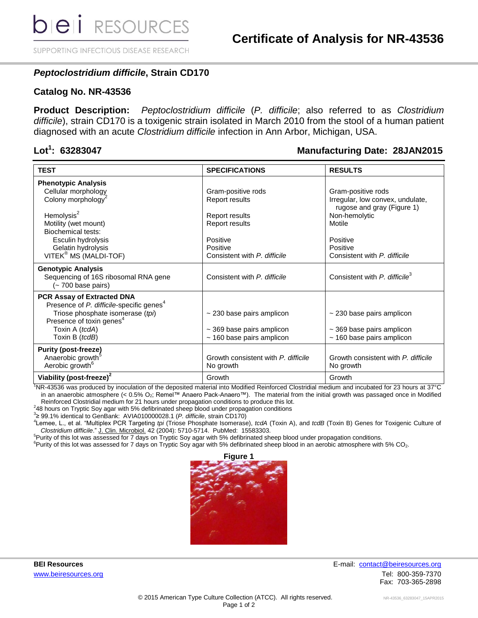SUPPORTING INFECTIOUS DISEASE RESEARCH

# *Peptoclostridium difficile***, Strain CD170**

### **Catalog No. NR-43536**

**Product Description:** *Peptoclostridium difficile* (*P. difficile*; also referred to as *Clostridium difficile*), strain CD170 is a toxigenic strain isolated in March 2010 from the stool of a human patient diagnosed with an acute *Clostridium difficile* infection in Ann Arbor, Michigan, USA.

## Lot<sup>1</sup>: 63283047

### **: 63283047 Manufacturing Date: 28JAN2015**

| <b>TEST</b>                                                                                                                   | <b>SPECIFICATIONS</b>               | <b>RESULTS</b>                                                 |
|-------------------------------------------------------------------------------------------------------------------------------|-------------------------------------|----------------------------------------------------------------|
| <b>Phenotypic Analysis</b>                                                                                                    |                                     |                                                                |
| Cellular morphology                                                                                                           | Gram-positive rods                  | Gram-positive rods                                             |
| Colony morphology <sup>2</sup>                                                                                                | Report results                      | Irregular, low convex, undulate,<br>rugose and gray (Figure 1) |
| Hemolysis $2$                                                                                                                 | Report results                      | Non-hemolytic                                                  |
| Motility (wet mount)                                                                                                          | Report results                      | Motile                                                         |
| Biochemical tests:                                                                                                            |                                     |                                                                |
| Esculin hydrolysis                                                                                                            | Positive                            | Positive                                                       |
| Gelatin hydrolysis                                                                                                            | Positive                            | Positive                                                       |
| VITEK <sup>®</sup> MS (MALDI-TOF)                                                                                             | Consistent with P. difficile        | Consistent with P. difficile                                   |
| <b>Genotypic Analysis</b><br>Sequencing of 16S ribosomal RNA gene<br>(~ 700 base pairs)                                       | Consistent with P. difficile        | Consistent with P. difficile <sup>3</sup>                      |
| <b>PCR Assay of Extracted DNA</b><br>Presence of P. difficile-specific genes <sup>4</sup><br>Triose phosphate isomerase (tpi) | $\sim$ 230 base pairs amplicon      | $\sim$ 230 base pairs amplicon                                 |
| Presence of toxin genes <sup>4</sup>                                                                                          |                                     |                                                                |
| Toxin A (tcdA)                                                                                                                | $\sim$ 369 base pairs amplicon      | $\sim$ 369 base pairs amplicon                                 |
| Toxin B (tcdB)                                                                                                                | $~160$ base pairs amplicon          | $\sim$ 160 base pairs amplicon                                 |
| <b>Purity (post-freeze)</b>                                                                                                   |                                     |                                                                |
| Anaerobic growth <sup>5</sup>                                                                                                 | Growth consistent with P. difficile | Growth consistent with P. difficile                            |
| Aerobic growth <sup>6</sup>                                                                                                   | No growth                           | No growth                                                      |
| Viability (post-freeze) <sup>2</sup>                                                                                          | Growth                              | Growth                                                         |

<sup>1</sup>NR-43536 was produced by inoculation of the deposited material into Modified Reinforced Clostridial medium and incubated for 23 hours at 37°C in an anaerobic atmosphere (< 0.5% O2; Remel™ Anaero Pack-Anaero™). The material from the initial growth was passaged once in Modified Reinforced Clostridial medium for 21 hours under propagation conditions to produce this lot.

 $2$ 48 hours on Tryptic Soy agar with 5% defibrinated sheep blood under propagation conditions

3 ≥ 99.1% identical to GenBank: AVIA010000028.1 (*P. difficile*, strain CD170)

4 Lemee, L., et al. "Multiplex PCR Targeting *tpi* (Triose Phosphate Isomerase), *tcdA* (Toxin A), and *tcdB* (Toxin B) Genes for Toxigenic Culture of *Clostridium difficile*." J. Clin. Microbiol. 42 (2004): 5710-5714. PubMed: 15583303.

<sup>5</sup>Purity of this lot was assessed for 7 days on Tryptic Soy agar with 5% defibrinated sheep blood under propagation conditions.

 ${}^{6}$ Purity of this lot was assessed for 7 days on Tryptic Soy agar with 5% defibrinated sheep blood in an aerobic atmosphere with 5% CO<sub>2</sub>.



**BEI Resources** E-mail: contact@beiresources.org [www.beiresources.org](http://www.beiresources.org/) **William Struck and Tel: 800-359-7370** Fax: 703-365-2898